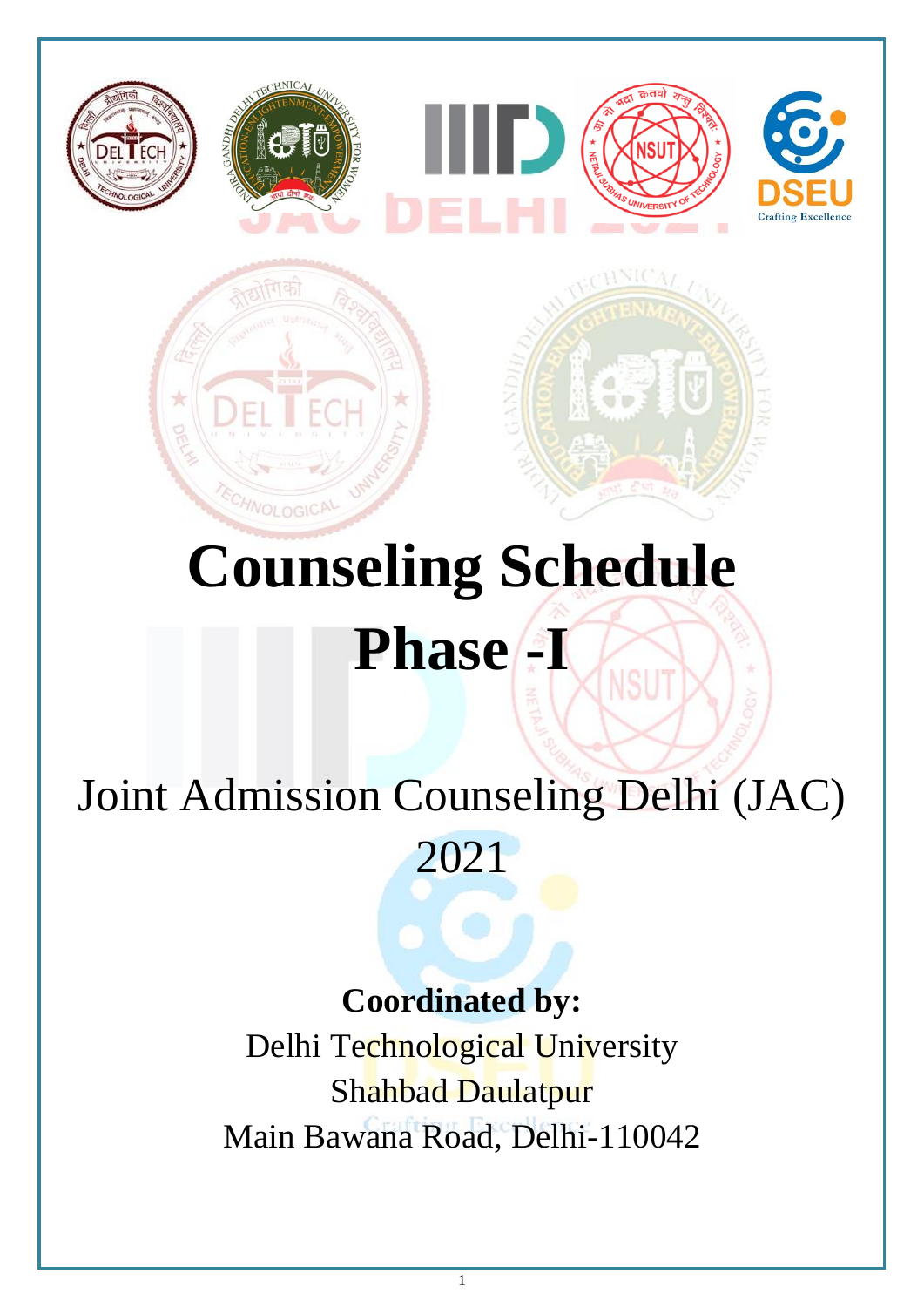

# **Counseling Schedule** Phase -I

NSU

## Joint Admission Counseling Delhi (JAC)

2021

### **Coordinated by:**

Delhi Technological University Shahbad Daulatpur Main Bawana Road, Delhi-110042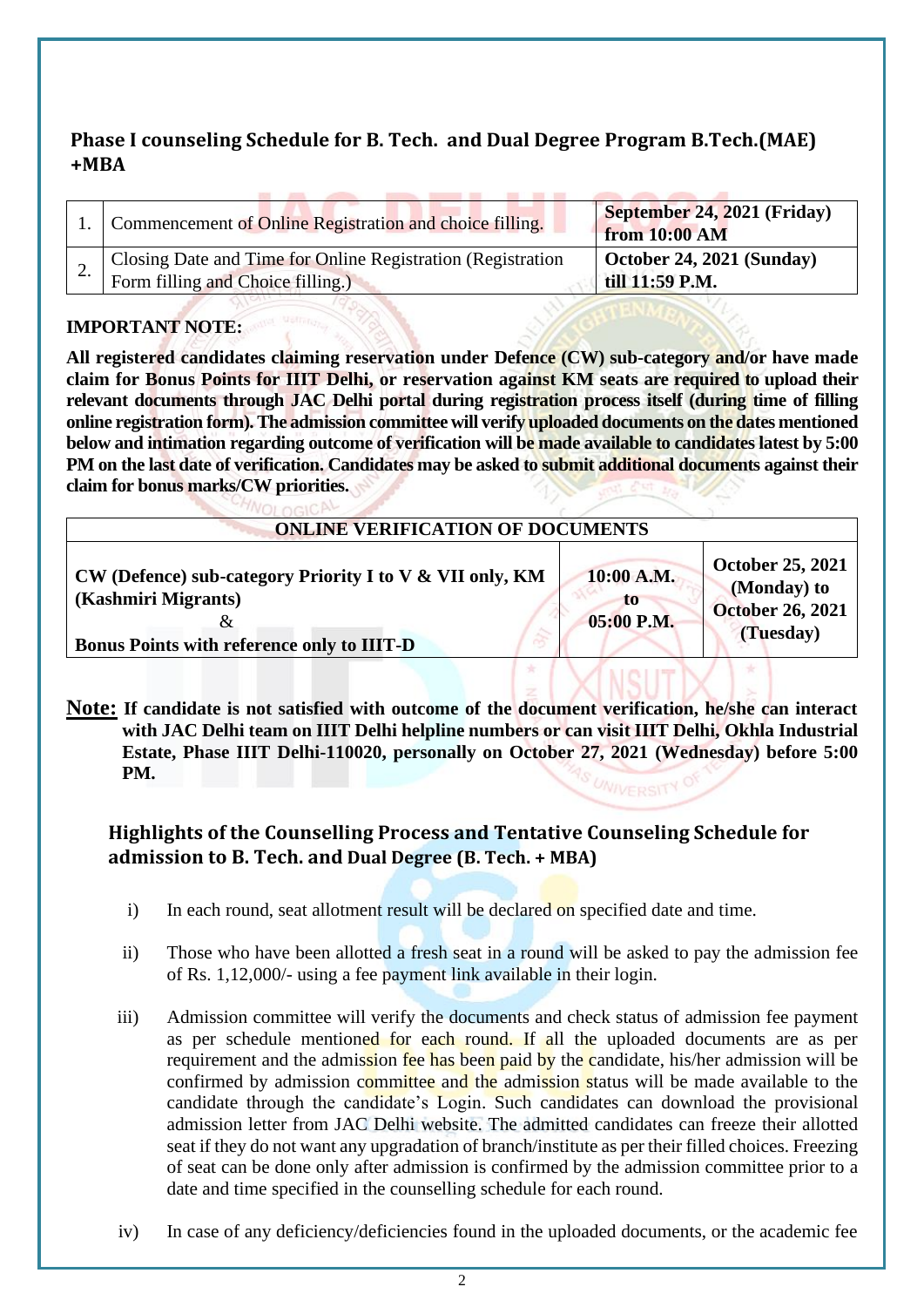#### **Phase I counseling Schedule for B. Tech. and Dual Degree Program B.Tech.(MAE) +MBA**

| 1. Commencement of Online Registration and choice filling.                                       | September 24, 2021 (Friday)<br>from 10:00 AM         |
|--------------------------------------------------------------------------------------------------|------------------------------------------------------|
| Closing Date and Time for Online Registration (Registration<br>Form filling and Choice filling.) | $\vert$ October 24, 2021 (Sunday)<br>till 11:59 P.M. |

#### **IMPORTANT NOTE:**

**All registered candidates claiming reservation under Defence (CW) sub-category and/or have made claim for Bonus Points for IIIT Delhi, or reservation against KM seats are required to upload their relevant documents through JAC Delhi portal during registration process itself (during time of filling online registration form). The admission committee will verify uploaded documents on the dates mentioned below and intimation regarding outcome of verification will be made available to candidates latest by 5:00 PM on the last date of verification. Candidates may be asked to submit additional documents against their claim for bonus marks/CW priorities.**

| <b>ONLINE VERIFICATION OF DOCUMENTS</b><br>10:00 A.M.<br>CW (Defence) sub-category Priority I to V & VII only, KM<br>(Kashmiri Migrants)<br>TO.<br>05:00 P.M.<br>& |                                                                                |
|--------------------------------------------------------------------------------------------------------------------------------------------------------------------|--------------------------------------------------------------------------------|
|                                                                                                                                                                    |                                                                                |
| <b>Bonus Points with reference only to IIIT-D</b>                                                                                                                  | <b>October 25, 2021</b><br>(Monday) to<br><b>October 26, 2021</b><br>(Tuesday) |

**Note: If candidate is not satisfied with outcome of the document verification, he/she can interact with JAC Delhi team on IIIT Delhi helpline numbers or can visit IIIT Delhi, Okhla Industrial Estate, Phase IIIT Delhi-110020, personally on October 27, 2021 (Wednesday) before 5:00 PM.**

#### **Highlights of the Counselling Process and Tentative Counseling Schedule for admission to B. Tech. and Dual Degree (B. Tech. + MBA)**

- i) In each round, seat allotment result will be declared on specified date and time.
- ii) Those who have been allotted a fresh seat in a round will be asked to pay the admission fee of Rs. 1,12,000/- using a fee payment link available in their login.
- iii) Admission committee will verify the documents and check status of admission fee payment as per schedule mentioned for each round. If all the uploaded documents are as per requirement and the admission fee has been paid by the candidate, his/her admission will be confirmed by admission committee and the admission status will be made available to the candidate through the candidate's Login. Such candidates can download the provisional admission letter from JAC Delhi website. The admitted candidates can freeze their allotted seat if they do not want any upgradation of branch/institute as per their filled choices. Freezing of seat can be done only after admission is confirmed by the admission committee prior to a date and time specified in the counselling schedule for each round.
- iv) In case of any deficiency/deficiencies found in the uploaded documents, or the academic fee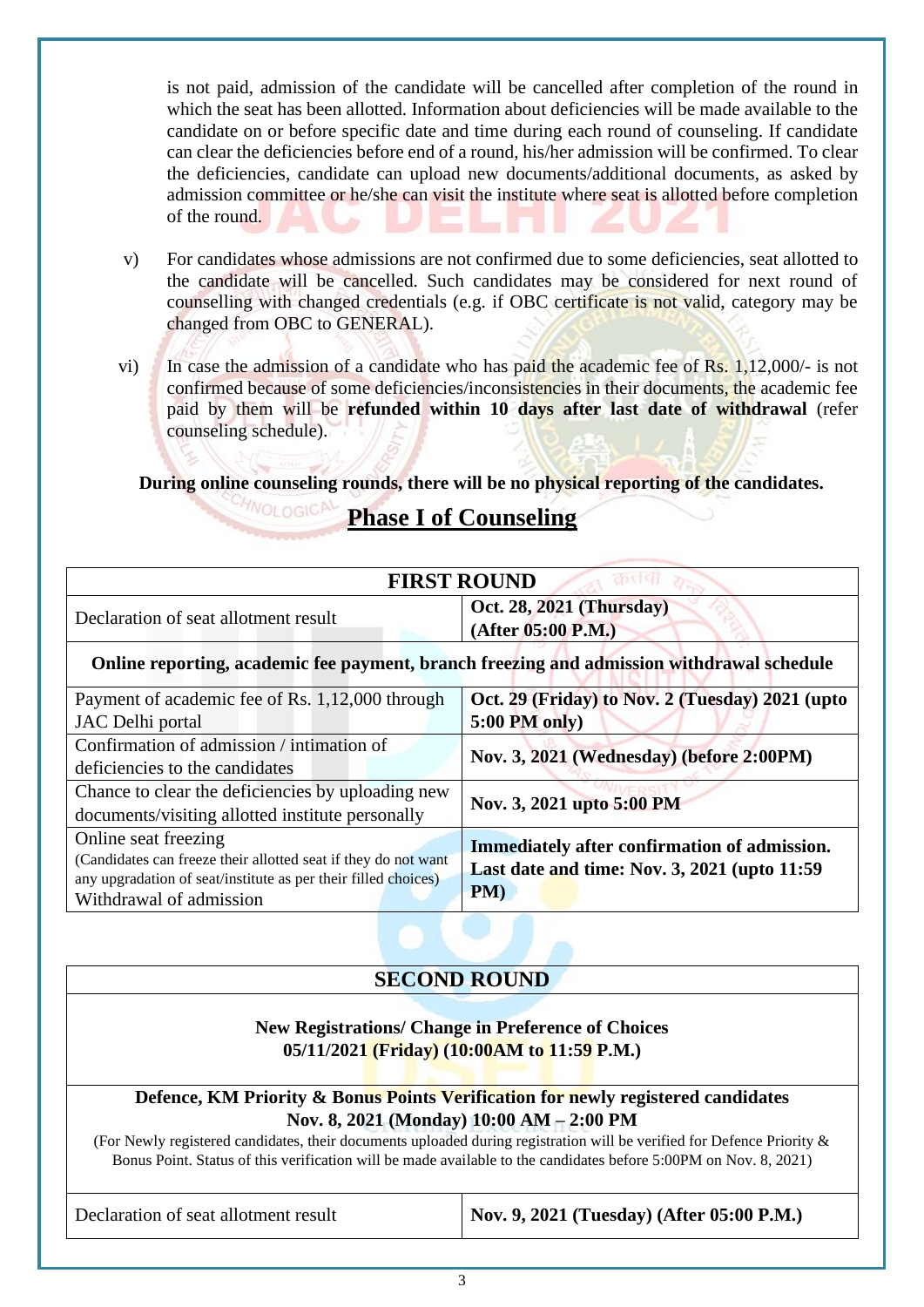is not paid, admission of the candidate will be cancelled after completion of the round in which the seat has been allotted. Information about deficiencies will be made available to the candidate on or before specific date and time during each round of counseling. If candidate can clear the deficiencies before end of a round, his/her admission will be confirmed. To clear the deficiencies, candidate can upload new documents/additional documents, as asked by admission committee or he/she can visit the institute where seat is allotted before completion of the round.

- v) For candidates whose admissions are not confirmed due to some deficiencies, seat allotted to the candidate will be cancelled. Such candidates may be considered for next round of counselling with changed credentials (e.g. if OBC certificate is not valid, category may be changed from OBC to GENERAL).
- vi) In case the admission of a candidate who has paid the academic fee of Rs. 1,12,000/- is not confirmed because of some deficiencies/inconsistencies in their documents, the academic fee paid by them will be **refunded within 10 days after last date of withdrawal** (refer counseling schedule).

**During online counseling rounds, there will be no physical reporting of the candidates.**

#### **Phase I of Counseling**

| <b>FIRST ROUND</b>                                                                        |                                                                                                      |  |
|-------------------------------------------------------------------------------------------|------------------------------------------------------------------------------------------------------|--|
| Declaration of seat allotment result                                                      | Oct. 28, 2021 (Thursday)<br>(After 05:00 P.M.)                                                       |  |
| Online reporting, academic fee payment, branch freezing and admission withdrawal schedule |                                                                                                      |  |
| Payment of academic fee of Rs. 1,12,000 through                                           | Oct. 29 (Friday) to Nov. 2 (Tuesday) 2021 (upto                                                      |  |
| JAC Delhi portal                                                                          | $5:00$ PM only)                                                                                      |  |
| Confirmation of admission / intimation of                                                 | Nov. 3, 2021 (Wednesday) (before 2:00PM)                                                             |  |
| deficiencies to the candidates                                                            |                                                                                                      |  |
| Chance to clear the deficiencies by uploading new                                         |                                                                                                      |  |
| documents/visiting allotted institute personally                                          | Nov. 3, 2021 upto 5:00 PM                                                                            |  |
| Online seat freezing                                                                      | Immediately after confirmation of admission.<br>Last date and time: Nov. 3, 2021 (upto 11:59)<br>PM) |  |
| (Candidates can freeze their allotted seat if they do not want                            |                                                                                                      |  |
| any upgradation of seat/institute as per their filled choices)                            |                                                                                                      |  |
| Withdrawal of admission                                                                   |                                                                                                      |  |

#### **SECOND ROUND**

#### **New Registrations/ Change in Preference of Choices 05/11/2021 (Friday) (10:00AM to 11:59 P.M.)**

#### **Defence, KM Priority & Bonus Points Verification for newly registered candidates Nov. 8, 2021 (Monday) 10:00 AM – 2:00 PM**

(For Newly registered candidates, their documents uploaded during registration will be verified for Defence Priority & Bonus Point. Status of this verification will be made available to the candidates before 5:00PM on Nov. 8, 2021)

Declaration of seat allotment result **Nov. 9, 2021 (Tuesday)** (After 05:00 P.M.)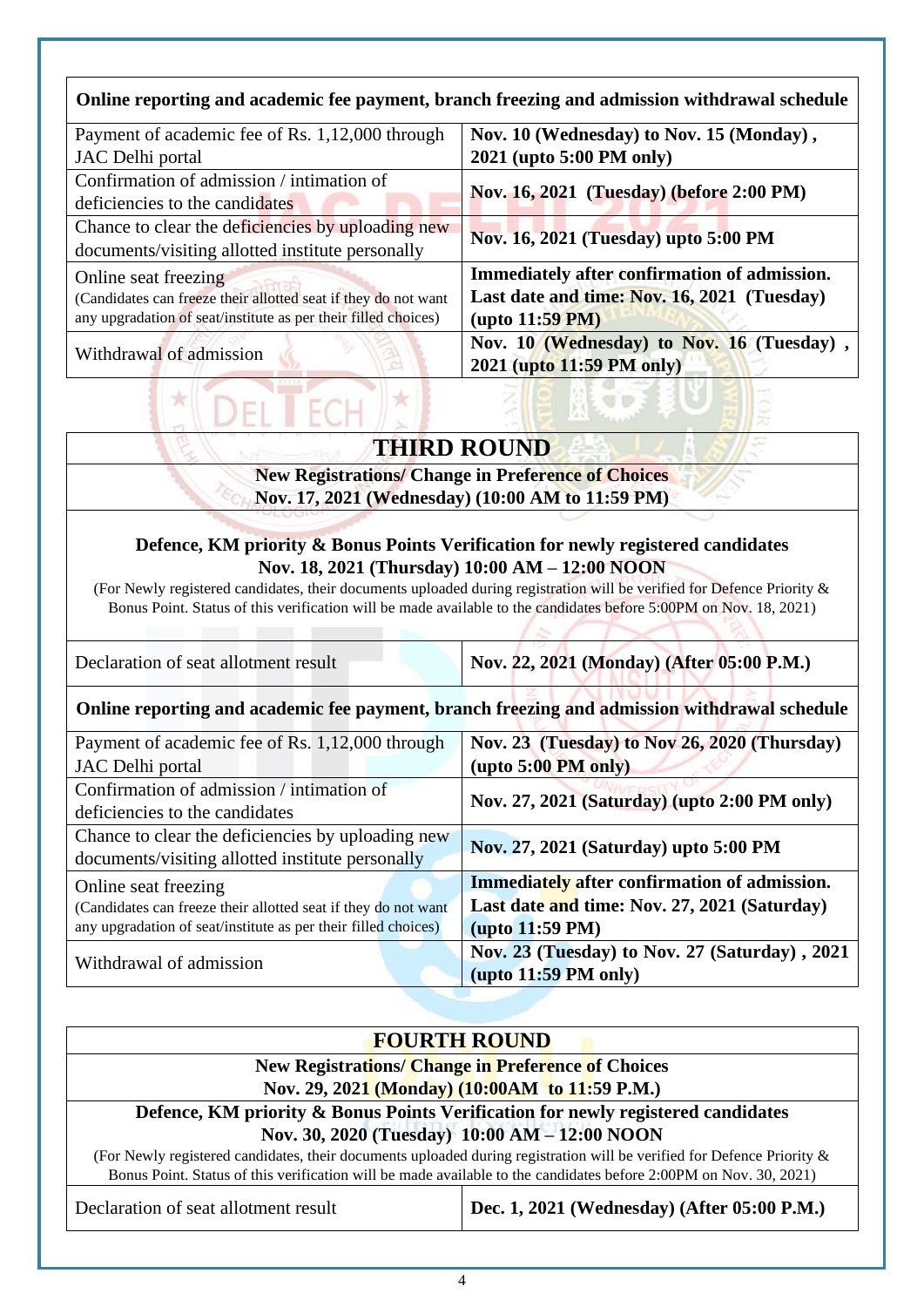#### **Online reporting and academic fee payment, branch freezing and admission withdrawal schedule**

| Payment of academic fee of Rs. 1,12,000 through                | Nov. 10 (Wednesday) to Nov. 15 (Monday),                               |  |
|----------------------------------------------------------------|------------------------------------------------------------------------|--|
| JAC Delhi portal                                               | 2021 (upto 5:00 PM only)                                               |  |
| Confirmation of admission / intimation of                      |                                                                        |  |
| deficiencies to the candidates                                 | Nov. 16, 2021 (Tuesday) (before 2:00 PM)                               |  |
| Chance to clear the deficiencies by uploading new              | Nov. 16, 2021 (Tuesday) upto 5:00 PM                                   |  |
| documents/visiting allotted institute personally               |                                                                        |  |
| Online seat freezing                                           | Immediately after confirmation of admission.                           |  |
| (Candidates can freeze their allotted seat if they do not want | Last date and time: Nov. 16, 2021 (Tuesday)                            |  |
| any upgradation of seat/institute as per their filled choices) | $(\text{upto } 11:59 \text{ PM})$                                      |  |
| Withdrawal of admission                                        | Nov. 10 (Wednesday) to Nov. 16 (Tuesday),<br>2021 (upto 11:59 PM only) |  |

#### **THIRD ROUND**

**UP** 

 $\sqrt{81}$ 

т

 $\star$ 

 $^{\star}$ 

Ec.

**New Registrations/ Change in Preference of Choices Nov. 17, 2021 (Wednesday) (10:00 AM to 11:59 PM)**

#### **Defence, KM priority & Bonus Points Verification for newly registered candidates Nov. 18, 2021 (Thursday) 10:00 AM – 12:00 NOON**

(For Newly registered candidates, their documents uploaded during registration will be verified for Defence Priority & Bonus Point. Status of this verification will be made available to the candidates before 5:00PM on Nov. 18, 2021)

 $\sqrt{2}$ 

| Declaration of seat allotment result                                                         | Nov. 22, 2021 (Monday) (After 05:00 P.M.)     |  |
|----------------------------------------------------------------------------------------------|-----------------------------------------------|--|
| Online reporting and academic fee payment, branch freezing and admission withdrawal schedule |                                               |  |
| Payment of academic fee of Rs. 1,12,000 through                                              | Nov. 23 (Tuesday) to Nov 26, 2020 (Thursday)  |  |
| JAC Delhi portal                                                                             | $(\text{upto } 5:00 \text{ PM only})$         |  |
| Confirmation of admission / intimation of                                                    | Nov. 27, 2021 (Saturday) (upto 2:00 PM only)  |  |
| deficiencies to the candidates                                                               |                                               |  |
| Chance to clear the deficiencies by uploading new                                            |                                               |  |
| documents/visiting allotted institute personally                                             | Nov. 27, 2021 (Saturday) upto 5:00 PM         |  |
| Online seat freezing                                                                         | Immediately after confirmation of admission.  |  |
| (Candidates can freeze their allotted seat if they do not want                               | Last date and time: Nov. 27, 2021 (Saturday)  |  |
| any upgradation of seat/institute as per their filled choices)                               | $(\text{upto } 11:59 \text{ PM})$             |  |
|                                                                                              | Nov. 23 (Tuesday) to Nov. 27 (Saturday), 2021 |  |
| Withdrawal of admission                                                                      | $(\text{upto } 11:59 \text{ PM only})$        |  |

| <b>FOURTH ROUND</b>                                                                                                    |                                             |  |
|------------------------------------------------------------------------------------------------------------------------|---------------------------------------------|--|
| New Registrations/ Change in Preference of Choices                                                                     |                                             |  |
| Nov. 29, 2021 (Monday) (10:00AM to 11:59 P.M.)                                                                         |                                             |  |
| Defence, KM priority & Bonus Points Verification for newly registered candidates                                       |                                             |  |
| Nov. 30, 2020 (Tuesday) 10:00 AM - 12:00 NOON                                                                          |                                             |  |
| (For Newly registered candidates, their documents uploaded during registration will be verified for Defence Priority & |                                             |  |
| Bonus Point. Status of this verification will be made available to the candidates before 2:00PM on Nov. 30, 2021)      |                                             |  |
| Declaration of seat allotment result                                                                                   | Dec. 1, 2021 (Wednesday) (After 05:00 P.M.) |  |